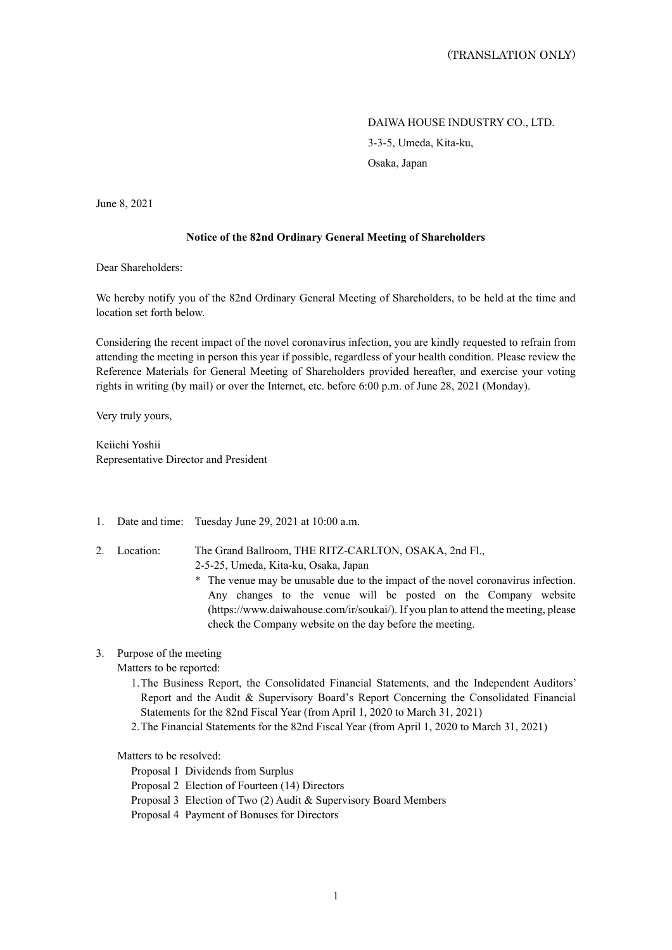DAIWA HOUSE INDUSTRY CO., LTD. 3-3-5, Umeda, Kita-ku, Osaka, Japan

June 8, 2021

### **Notice of the 82nd Ordinary General Meeting of Shareholders**

Dear Shareholders:

We hereby notify you of the 82nd Ordinary General Meeting of Shareholders, to be held at the time and location set forth below.

Considering the recent impact of the novel coronavirus infection, you are kindly requested to refrain from attending the meeting in person this year if possible, regardless of your health condition. Please review the Reference Materials for General Meeting of Shareholders provided hereafter, and exercise your voting rights in writing (by mail) or over the Internet, etc. before 6:00 p.m. of June 28, 2021 (Monday).

Very truly yours,

Keiichi Yoshii Representative Director and President

- 1. Date and time: Tuesday June 29, 2021 at 10:00 a.m.
- 2. Location: The Grand Ballroom, THE RITZ-CARLTON, OSAKA, 2nd Fl., 2-5-25, Umeda, Kita-ku, Osaka, Japan
	- \* The venue may be unusable due to the impact of the novel coronavirus infection. Any changes to the venue will be posted on the Company website (https://www.daiwahouse.com/ir/soukai/). If you plan to attend the meeting, please check the Company website on the day before the meeting.
- 3. Purpose of the meeting

Matters to be reported:

- 1. The Business Report, the Consolidated Financial Statements, and the Independent Auditors' Report and the Audit & Supervisory Board's Report Concerning the Consolidated Financial Statements for the 82nd Fiscal Year (from April 1, 2020 to March 31, 2021)
- 2. The Financial Statements for the 82nd Fiscal Year (from April 1, 2020 to March 31, 2021)

Matters to be resolved:

Proposal 1 Dividends from Surplus

- Proposal 2 Election of Fourteen (14) Directors
- Proposal 3 Election of Two (2) Audit & Supervisory Board Members
- Proposal 4 Payment of Bonuses for Directors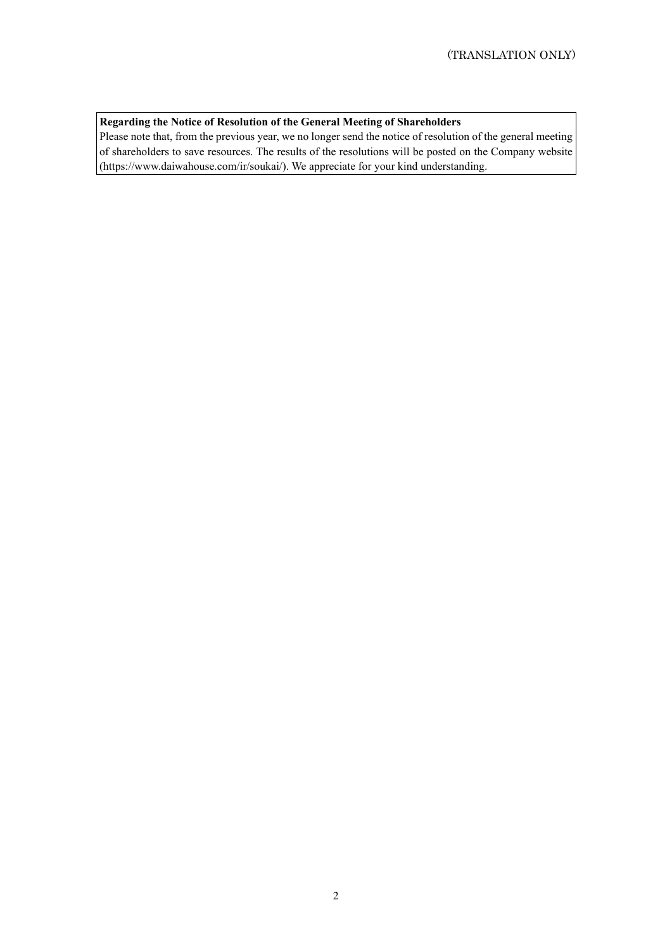# **Regarding the Notice of Resolution of the General Meeting of Shareholders**

Please note that, from the previous year, we no longer send the notice of resolution of the general meeting of shareholders to save resources. The results of the resolutions will be posted on the Company website (https://www.daiwahouse.com/ir/soukai/). We appreciate for your kind understanding.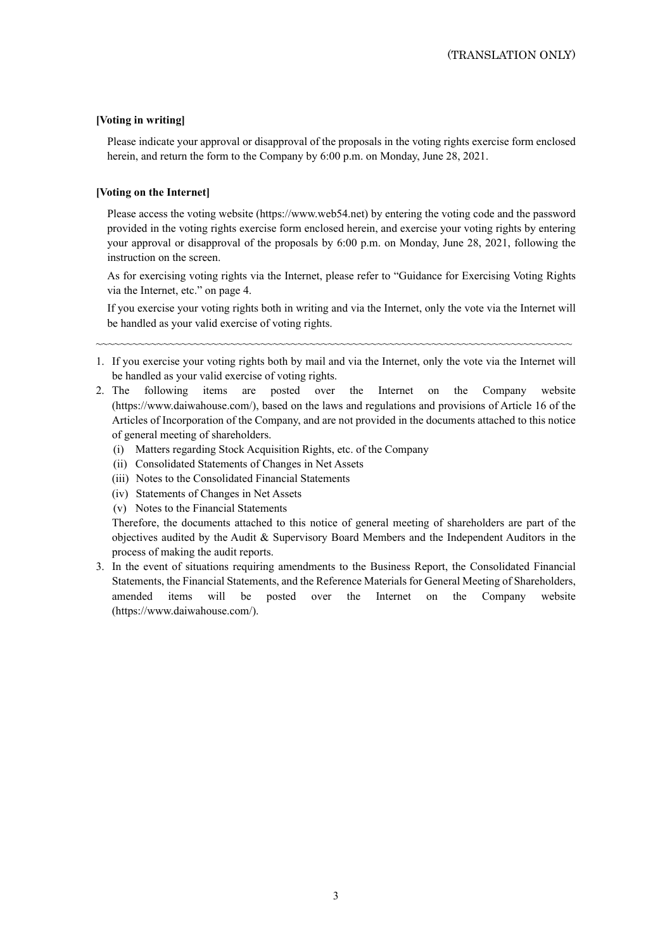## **[Voting in writing]**

Please indicate your approval or disapproval of the proposals in the voting rights exercise form enclosed herein, and return the form to the Company by 6:00 p.m. on Monday, June 28, 2021.

### **[Voting on the Internet]**

Please access the voting website (https://www.web54.net) by entering the voting code and the password provided in the voting rights exercise form enclosed herein, and exercise your voting rights by entering your approval or disapproval of the proposals by 6:00 p.m. on Monday, June 28, 2021, following the instruction on the screen.

As for exercising voting rights via the Internet, please refer to "Guidance for Exercising Voting Rights via the Internet, etc." on page 4.

If you exercise your voting rights both in writing and via the Internet, only the vote via the Internet will be handled as your valid exercise of voting rights.

1. If you exercise your voting rights both by mail and via the Internet, only the vote via the Internet will be handled as your valid exercise of voting rights.

~~~~~~~~~~~~~~~~~~~~~~~~~~~~~~~~~~~~~~~~~~~~~~~~~~~~~~~~~~~~~~~~~~~~~~~~~~~~~~

- 2. The following items are posted over the Internet on the Company website (https://www.daiwahouse.com/), based on the laws and regulations and provisions of Article 16 of the Articles of Incorporation of the Company, and are not provided in the documents attached to this notice of general meeting of shareholders.
	- (i) Matters regarding Stock Acquisition Rights, etc. of the Company
	- (ii) Consolidated Statements of Changes in Net Assets
	- (iii) Notes to the Consolidated Financial Statements
	- (iv) Statements of Changes in Net Assets
	- (v) Notes to the Financial Statements

Therefore, the documents attached to this notice of general meeting of shareholders are part of the objectives audited by the Audit & Supervisory Board Members and the Independent Auditors in the process of making the audit reports.

3. In the event of situations requiring amendments to the Business Report, the Consolidated Financial Statements, the Financial Statements, and the Reference Materials for General Meeting of Shareholders, amended items will be posted over the Internet on the Company website (https://www.daiwahouse.com/).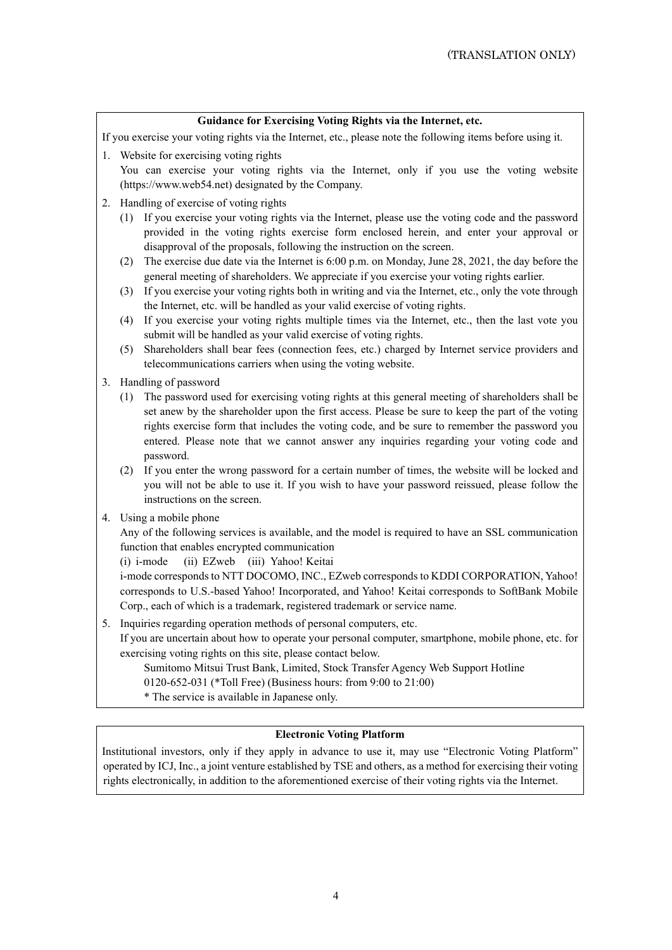### **Guidance for Exercising Voting Rights via the Internet, etc.**

If you exercise your voting rights via the Internet, etc., please note the following items before using it.

- 1. Website for exercising voting rights You can exercise your voting rights via the Internet, only if you use the voting website (https://www.web54.net) designated by the Company.
	- 2. Handling of exercise of voting rights
		- (1) If you exercise your voting rights via the Internet, please use the voting code and the password provided in the voting rights exercise form enclosed herein, and enter your approval or disapproval of the proposals, following the instruction on the screen.
		- (2) The exercise due date via the Internet is 6:00 p.m. on Monday, June 28, 2021, the day before the general meeting of shareholders. We appreciate if you exercise your voting rights earlier.
		- (3) If you exercise your voting rights both in writing and via the Internet, etc., only the vote through the Internet, etc. will be handled as your valid exercise of voting rights.
		- (4) If you exercise your voting rights multiple times via the Internet, etc., then the last vote you submit will be handled as your valid exercise of voting rights.
		- (5) Shareholders shall bear fees (connection fees, etc.) charged by Internet service providers and telecommunications carriers when using the voting website.
	- 3. Handling of password
		- (1) The password used for exercising voting rights at this general meeting of shareholders shall be set anew by the shareholder upon the first access. Please be sure to keep the part of the voting rights exercise form that includes the voting code, and be sure to remember the password you entered. Please note that we cannot answer any inquiries regarding your voting code and password.
		- (2) If you enter the wrong password for a certain number of times, the website will be locked and you will not be able to use it. If you wish to have your password reissued, please follow the instructions on the screen.
	- 4. Using a mobile phone

Any of the following services is available, and the model is required to have an SSL communication function that enables encrypted communication

(i) i-mode (ii) EZweb (iii) Yahoo! Keitai

i-mode corresponds to NTT DOCOMO, INC., EZweb corresponds to KDDI CORPORATION, Yahoo! corresponds to U.S.-based Yahoo! Incorporated, and Yahoo! Keitai corresponds to SoftBank Mobile Corp., each of which is a trademark, registered trademark or service name.

5. Inquiries regarding operation methods of personal computers, etc.

If you are uncertain about how to operate your personal computer, smartphone, mobile phone, etc. for exercising voting rights on this site, please contact below.

Sumitomo Mitsui Trust Bank, Limited, Stock Transfer Agency Web Support Hotline

0120-652-031 (\*Toll Free) (Business hours: from 9:00 to 21:00)

\* The service is available in Japanese only.

### **Electronic Voting Platform**

Institutional investors, only if they apply in advance to use it, may use "Electronic Voting Platform" operated by ICJ, Inc., a joint venture established by TSE and others, as a method for exercising their voting rights electronically, in addition to the aforementioned exercise of their voting rights via the Internet.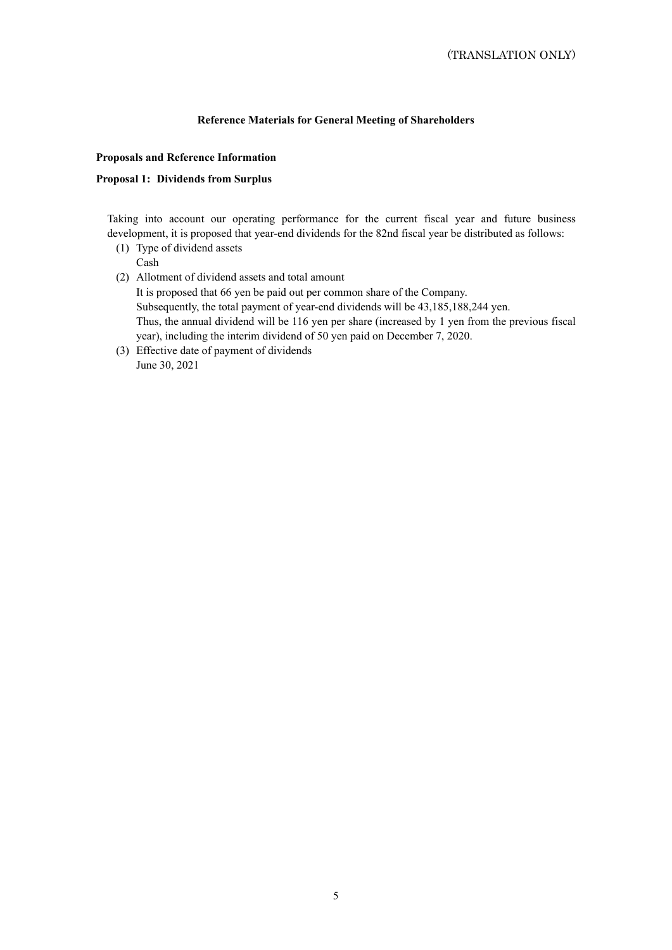## **Reference Materials for General Meeting of Shareholders**

## **Proposals and Reference Information**

### **Proposal 1: Dividends from Surplus**

Taking into account our operating performance for the current fiscal year and future business development, it is proposed that year-end dividends for the 82nd fiscal year be distributed as follows:

- (1) Type of dividend assets Cash
- (2) Allotment of dividend assets and total amount It is proposed that 66 yen be paid out per common share of the Company. Subsequently, the total payment of year-end dividends will be 43,185,188,244 yen. Thus, the annual dividend will be 116 yen per share (increased by 1 yen from the previous fiscal year), including the interim dividend of 50 yen paid on December 7, 2020.
- (3) Effective date of payment of dividends June 30, 2021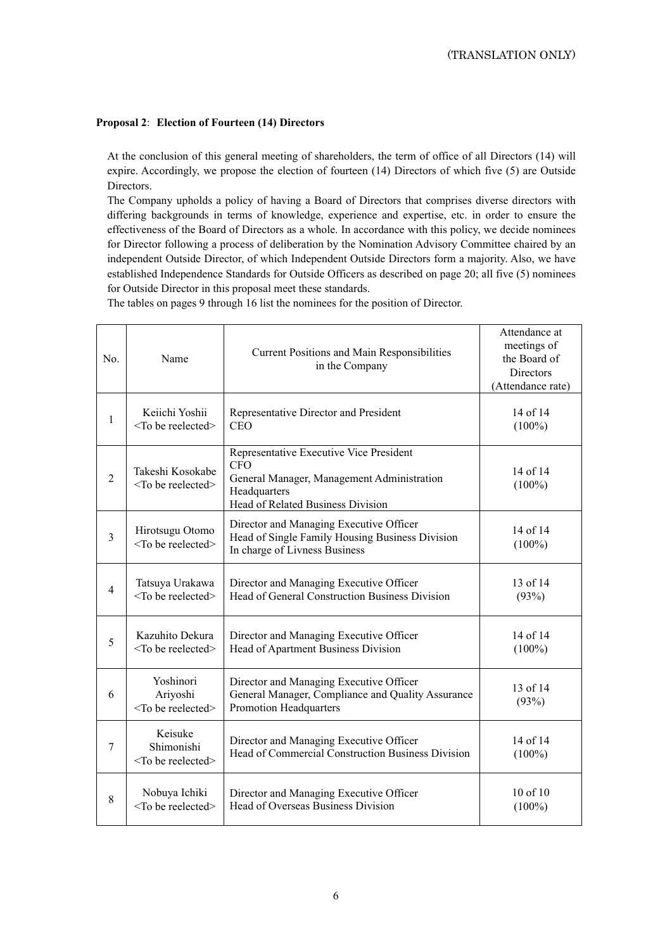## **Proposal 2**: **Election of Fourteen (14) Directors**

At the conclusion of this general meeting of shareholders, the term of office of all Directors (14) will expire. Accordingly, we propose the election of fourteen (14) Directors of which five (5) are Outside Directors.

The Company upholds a policy of having a Board of Directors that comprises diverse directors with differing backgrounds in terms of knowledge, experience and expertise, etc. in order to ensure the effectiveness of the Board of Directors as a whole. In accordance with this policy, we decide nominees for Director following a process of deliberation by the Nomination Advisory Committee chaired by an independent Outside Director, of which Independent Outside Directors form a majority. Also, we have established Independence Standards for Outside Officers as described on page 20; all five (5) nominees for Outside Director in this proposal meet these standards.

The tables on pages 9 through 16 list the nominees for the position of Director.

| No.            | Name                                                  | <b>Current Positions and Main Responsibilities</b><br>in the Company                                                                                     | Attendance at<br>meetings of<br>the Board of<br><b>Directors</b><br>(Attendance rate) |
|----------------|-------------------------------------------------------|----------------------------------------------------------------------------------------------------------------------------------------------------------|---------------------------------------------------------------------------------------|
| 1              | Keiichi Yoshii<br><to be="" reelected=""></to>        | Representative Director and President<br>CEO                                                                                                             | 14 of 14<br>$(100\%)$                                                                 |
| $\overline{2}$ | Takeshi Kosokabe<br><to be="" reelected=""></to>      | Representative Executive Vice President<br><b>CFO</b><br>General Manager, Management Administration<br>Headquarters<br>Head of Related Business Division | 14 of 14<br>$(100\%)$                                                                 |
| 3              | Hirotsugu Otomo<br><to be="" reelected=""></to>       | Director and Managing Executive Officer<br>Head of Single Family Housing Business Division<br>In charge of Livness Business                              | 14 of 14<br>$(100\%)$                                                                 |
| $\overline{4}$ | Tatsuya Urakawa<br><to be="" reelected=""></to>       | Director and Managing Executive Officer<br>Head of General Construction Business Division                                                                | 13 of 14<br>(93%)                                                                     |
| 5              | Kazuhito Dekura<br><to be="" reelected=""></to>       | Director and Managing Executive Officer<br>Head of Apartment Business Division                                                                           | 14 of 14<br>$(100\%)$                                                                 |
| 6              | Yoshinori<br>Ariyoshi<br><to be="" reelected=""></to> | Director and Managing Executive Officer<br>General Manager, Compliance and Quality Assurance<br><b>Promotion Headquarters</b>                            | 13 of 14<br>(93%)                                                                     |
| 7              | Keisuke<br>Shimonishi<br><to be="" reelected=""></to> | Director and Managing Executive Officer<br>Head of Commercial Construction Business Division                                                             | 14 of 14<br>$(100\%)$                                                                 |
| 8              | Nobuya Ichiki<br><to be="" reelected=""></to>         | Director and Managing Executive Officer<br>Head of Overseas Business Division                                                                            | 10 of 10<br>$(100\%)$                                                                 |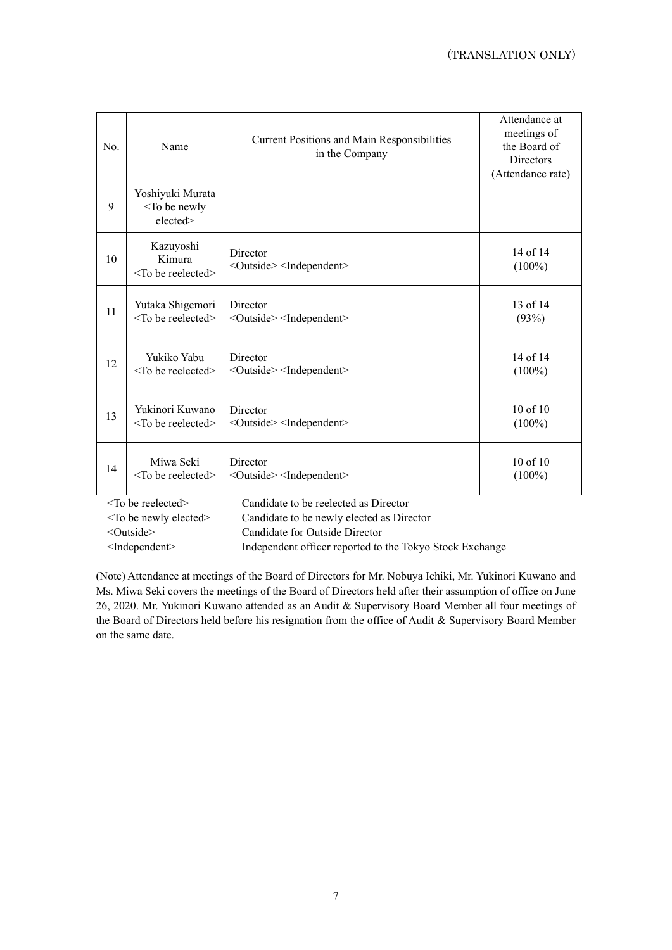| No. | Name                                                       | <b>Current Positions and Main Responsibilities</b><br>in the Company | Attendance at<br>meetings of<br>the Board of<br><b>Directors</b><br>(Attendance rate) |
|-----|------------------------------------------------------------|----------------------------------------------------------------------|---------------------------------------------------------------------------------------|
| 9   | Yoshiyuki Murata<br><to be="" newly<br="">elected&gt;</to> |                                                                      |                                                                                       |
| 10  | Kazuyoshi<br>Kimura<br>$<$ To be reelected $>$             | Director<br><outside><independent></independent></outside>           | 14 of 14<br>$(100\%)$                                                                 |
| 11  | Yutaka Shigemori                                           | Director                                                             | $13$ of $14$                                                                          |
|     | $<$ To be reelected>                                       | <outside> <independent></independent></outside>                      | (93%)                                                                                 |
| 12  | Yukiko Yabu                                                | Director                                                             | 14 of 14                                                                              |
|     | $<$ To be reelected $>$                                    | <outside> <independent></independent></outside>                      | $(100\%)$                                                                             |
| 13  | Yukinori Kuwano                                            | Director                                                             | 10 of 10                                                                              |
|     | $<$ To be reelected $>$                                    | <outside><independent></independent></outside>                       | $(100\%)$                                                                             |
| 14  | Miwa Seki                                                  | Director                                                             | 10 of 10                                                                              |
|     | $<$ To be reelected $>$                                    | <outside> <independent></independent></outside>                      | $(100\%)$                                                                             |

<To be reelected> Candidate to be reelected as Director

<To be newly elected> Candidate to be newly elected as Director

<Outside> Candidate for Outside Director

<Independent> Independent officer reported to the Tokyo Stock Exchange

(Note) Attendance at meetings of the Board of Directors for Mr. Nobuya Ichiki, Mr. Yukinori Kuwano and Ms. Miwa Seki covers the meetings of the Board of Directors held after their assumption of office on June 26, 2020. Mr. Yukinori Kuwano attended as an Audit & Supervisory Board Member all four meetings of the Board of Directors held before his resignation from the office of Audit & Supervisory Board Member on the same date.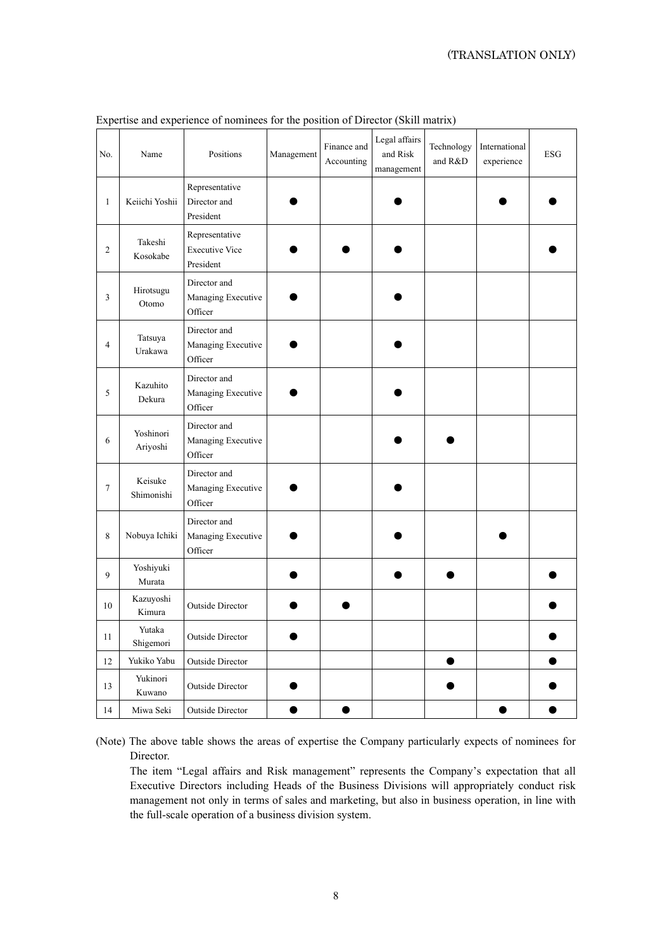| No.            | Name                  | Positions                                            | Management | Finance and<br>Accounting | Legal affairs<br>and Risk<br>management | Technology<br>and R&D | International<br>experience | <b>ESG</b> |
|----------------|-----------------------|------------------------------------------------------|------------|---------------------------|-----------------------------------------|-----------------------|-----------------------------|------------|
| $\mathbf{1}$   | Keiichi Yoshii        | Representative<br>Director and<br>President          |            |                           |                                         |                       |                             |            |
| 2              | Takeshi<br>Kosokabe   | Representative<br><b>Executive Vice</b><br>President |            |                           |                                         |                       |                             |            |
| 3              | Hirotsugu<br>Otomo    | Director and<br>Managing Executive<br>Officer        |            |                           |                                         |                       |                             |            |
| $\overline{4}$ | Tatsuya<br>Urakawa    | Director and<br>Managing Executive<br>Officer        |            |                           |                                         |                       |                             |            |
| 5              | Kazuhito<br>Dekura    | Director and<br>Managing Executive<br>Officer        |            |                           |                                         |                       |                             |            |
| 6              | Yoshinori<br>Ariyoshi | Director and<br>Managing Executive<br>Officer        |            |                           |                                         |                       |                             |            |
| $\tau$         | Keisuke<br>Shimonishi | Director and<br>Managing Executive<br>Officer        |            |                           |                                         |                       |                             |            |
| 8              | Nobuya Ichiki         | Director and<br>Managing Executive<br>Officer        |            |                           |                                         |                       |                             |            |
| 9              | Yoshiyuki<br>Murata   |                                                      |            |                           |                                         |                       |                             |            |
| 10             | Kazuyoshi<br>Kimura   | <b>Outside Director</b>                              |            |                           |                                         |                       |                             |            |
| 11             | Yutaka<br>Shigemori   | <b>Outside Director</b>                              |            |                           |                                         |                       |                             |            |
| 12             | Yukiko Yabu           | <b>Outside Director</b>                              |            |                           |                                         | ●                     |                             |            |
| 13             | Yukinori<br>Kuwano    | <b>Outside Director</b>                              |            |                           |                                         |                       |                             |            |
| 14             | Miwa Seki             | <b>Outside Director</b>                              |            |                           |                                         |                       | æ                           |            |

Expertise and experience of nominees for the position of Director (Skill matrix)

(Note) The above table shows the areas of expertise the Company particularly expects of nominees for Director.

The item "Legal affairs and Risk management" represents the Company's expectation that all Executive Directors including Heads of the Business Divisions will appropriately conduct risk management not only in terms of sales and marketing, but also in business operation, in line with the full-scale operation of a business division system.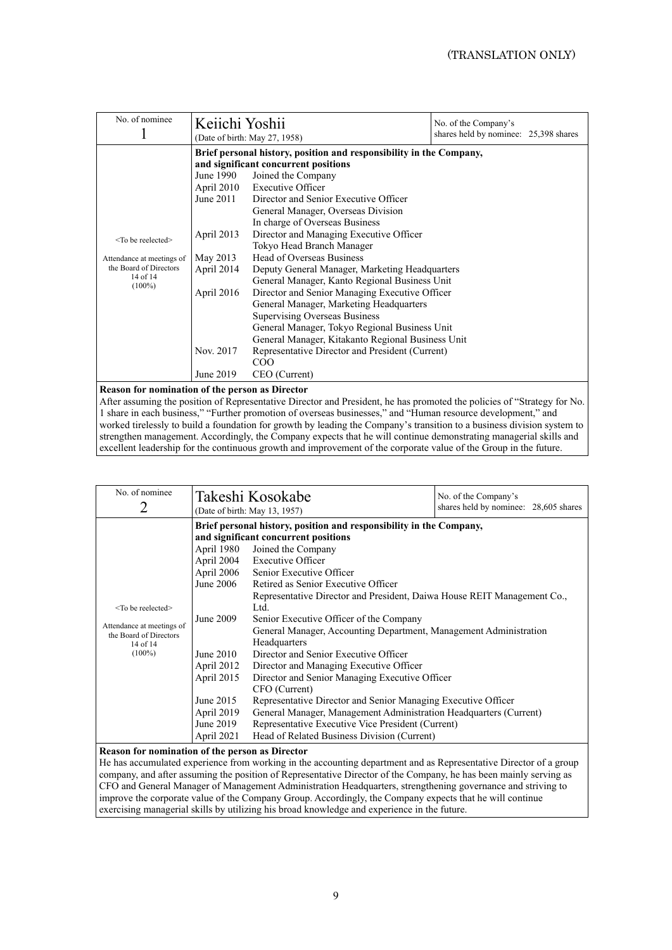| No. of nominee                                                                                          | Keiichi Yoshii                                                                                                         | (Date of birth: May 27, 1958)                                                                                                                                                                                                                                                                                                                                                                                                                                                                                                                                                                                                                                                                                                                                                                                             | No. of the Company's<br>shares held by nominee: 25,398 shares |  |  |
|---------------------------------------------------------------------------------------------------------|------------------------------------------------------------------------------------------------------------------------|---------------------------------------------------------------------------------------------------------------------------------------------------------------------------------------------------------------------------------------------------------------------------------------------------------------------------------------------------------------------------------------------------------------------------------------------------------------------------------------------------------------------------------------------------------------------------------------------------------------------------------------------------------------------------------------------------------------------------------------------------------------------------------------------------------------------------|---------------------------------------------------------------|--|--|
| $<$ To be reelected $>$<br>Attendance at meetings of<br>the Board of Directors<br>14 of 14<br>$(100\%)$ | June 1990<br>April 2010<br>June $2011$<br>April 2013<br>May 2013<br>April 2014<br>April 2016<br>Nov. 2017<br>June 2019 | Brief personal history, position and responsibility in the Company,<br>and significant concurrent positions<br>Joined the Company<br><b>Executive Officer</b><br>Director and Senior Executive Officer<br>General Manager, Overseas Division<br>In charge of Overseas Business<br>Director and Managing Executive Officer<br>Tokyo Head Branch Manager<br>Head of Overseas Business<br>Deputy General Manager, Marketing Headquarters<br>General Manager, Kanto Regional Business Unit<br>Director and Senior Managing Executive Officer<br>General Manager, Marketing Headquarters<br><b>Supervising Overseas Business</b><br>General Manager, Tokyo Regional Business Unit<br>General Manager, Kitakanto Regional Business Unit<br>Representative Director and President (Current)<br>C <sub>O</sub> O<br>CEO (Current) |                                                               |  |  |
|                                                                                                         | Reason for nomination of the person as Director                                                                        |                                                                                                                                                                                                                                                                                                                                                                                                                                                                                                                                                                                                                                                                                                                                                                                                                           |                                                               |  |  |

After assuming the position of Representative Director and President, he has promoted the policies of "Strategy for No. 1 share in each business," "Further promotion of overseas businesses," and "Human resource development," and worked tirelessly to build a foundation for growth by leading the Company's transition to a business division system to strengthen management. Accordingly, the Company expects that he will continue demonstrating managerial skills and excellent leadership for the continuous growth and improvement of the corporate value of the Group in the future.

| No. of nominee<br>2                                                                                         |                                                                                                                                                                   | Takeshi Kosokabe<br>(Date of birth: May 13, 1957)                                                                                                                                                                                                                                                                                                                                                                                                                                                                                                                                                                                                                                                                                                                                                                                                    | No. of the Company's<br>shares held by nominee: 28,605 shares |
|-------------------------------------------------------------------------------------------------------------|-------------------------------------------------------------------------------------------------------------------------------------------------------------------|------------------------------------------------------------------------------------------------------------------------------------------------------------------------------------------------------------------------------------------------------------------------------------------------------------------------------------------------------------------------------------------------------------------------------------------------------------------------------------------------------------------------------------------------------------------------------------------------------------------------------------------------------------------------------------------------------------------------------------------------------------------------------------------------------------------------------------------------------|---------------------------------------------------------------|
| $<$ To be reelected $>$<br>Attendance at meetings of<br>the Board of Directors<br>$14$ of $14$<br>$(100\%)$ | April 1980<br>April 2004<br>April 2006<br>June 2006<br>June 2009<br>June $2010$<br>April 2012<br>April 2015<br>June 2015<br>April 2019<br>June 2019<br>April 2021 | Brief personal history, position and responsibility in the Company,<br>and significant concurrent positions<br>Joined the Company<br><b>Executive Officer</b><br>Senior Executive Officer<br>Retired as Senior Executive Officer<br>Representative Director and President, Daiwa House REIT Management Co.,<br>Ltd.<br>Senior Executive Officer of the Company<br>General Manager, Accounting Department, Management Administration<br>Headquarters<br>Director and Senior Executive Officer<br>Director and Managing Executive Officer<br>Director and Senior Managing Executive Officer<br>CFO (Current)<br>Representative Director and Senior Managing Executive Officer<br>General Manager, Management Administration Headquarters (Current)<br>Representative Executive Vice President (Current)<br>Head of Related Business Division (Current) |                                                               |
| Reason for nomination of the person as Director                                                             |                                                                                                                                                                   |                                                                                                                                                                                                                                                                                                                                                                                                                                                                                                                                                                                                                                                                                                                                                                                                                                                      |                                                               |

He has accumulated experience from working in the accounting department and as Representative Director of a group company, and after assuming the position of Representative Director of the Company, he has been mainly serving as CFO and General Manager of Management Administration Headquarters, strengthening governance and striving to improve the corporate value of the Company Group. Accordingly, the Company expects that he will continue exercising managerial skills by utilizing his broad knowledge and experience in the future.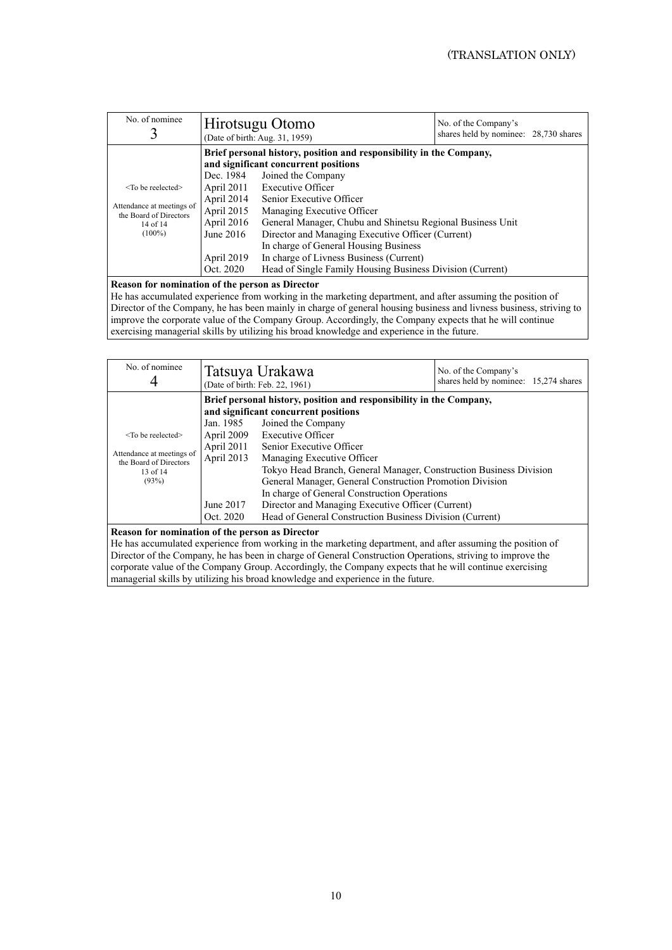| No. of nominee                                      |             | Hirotsugu Otomo<br>No. of the Company's<br>shares held by nominee: 28,730 shares<br>(Date of birth: Aug. 31, 1959) |  |  |
|-----------------------------------------------------|-------------|--------------------------------------------------------------------------------------------------------------------|--|--|
|                                                     |             | Brief personal history, position and responsibility in the Company,<br>and significant concurrent positions        |  |  |
|                                                     | Dec. 1984   | Joined the Company                                                                                                 |  |  |
| $<$ To be reelected $>$                             | April 2011  | <b>Executive Officer</b>                                                                                           |  |  |
|                                                     | April 2014  | Senior Executive Officer                                                                                           |  |  |
| Attendance at meetings of<br>the Board of Directors | April 2015  | Managing Executive Officer                                                                                         |  |  |
| 14 of $14$                                          | April 2016  | General Manager, Chubu and Shinetsu Regional Business Unit                                                         |  |  |
| $(100\%)$                                           | June $2016$ | Director and Managing Executive Officer (Current)                                                                  |  |  |
|                                                     |             | In charge of General Housing Business                                                                              |  |  |
|                                                     | April 2019  | In charge of Livness Business (Current)                                                                            |  |  |
|                                                     | Oct. 2020   | Head of Single Family Housing Business Division (Current)                                                          |  |  |

### **Reason for nomination of the person as Director**

He has accumulated experience from working in the marketing department, and after assuming the position of Director of the Company, he has been mainly in charge of general housing business and livness business, striving to improve the corporate value of the Company Group. Accordingly, the Company expects that he will continue exercising managerial skills by utilizing his broad knowledge and experience in the future.

| No. of nominee                                                                                                                                                                                                                                                                                                                                                                                                                                                                                                                                                                               | Tatsuya Urakawa<br>No. of the Company's<br>shares held by nominee: 15,274 shares<br>(Date of birth: Feb. 22, 1961) |  |  |  |  |
|----------------------------------------------------------------------------------------------------------------------------------------------------------------------------------------------------------------------------------------------------------------------------------------------------------------------------------------------------------------------------------------------------------------------------------------------------------------------------------------------------------------------------------------------------------------------------------------------|--------------------------------------------------------------------------------------------------------------------|--|--|--|--|
|                                                                                                                                                                                                                                                                                                                                                                                                                                                                                                                                                                                              | Brief personal history, position and responsibility in the Company,<br>and significant concurrent positions        |  |  |  |  |
| Joined the Company<br>Jan. 1985<br>Executive Officer<br>April 2009<br>$<$ To be reelected $>$<br>April 2011<br>Senior Executive Officer<br>Attendance at meetings of<br>April 2013<br>Managing Executive Officer<br>the Board of Directors<br>Tokyo Head Branch, General Manager, Construction Business Division<br>13 of 14<br>(93%)<br>General Manager, General Construction Promotion Division<br>In charge of General Construction Operations<br>June 2017<br>Director and Managing Executive Officer (Current)<br>Head of General Construction Business Division (Current)<br>Oct. 2020 |                                                                                                                    |  |  |  |  |
| Reason for nomination of the person as Director<br>He has accumulated experience from working in the marketing department, and after assuming the position of<br>Director of the Company, he has been in charge of General Construction Operations, striving to improve the                                                                                                                                                                                                                                                                                                                  |                                                                                                                    |  |  |  |  |

Director of the Company, he has been in charge of General Construction Operations, striving to improve the corporate value of the Company Group. Accordingly, the Company expects that he will continue exercising managerial skills by utilizing his broad knowledge and experience in the future.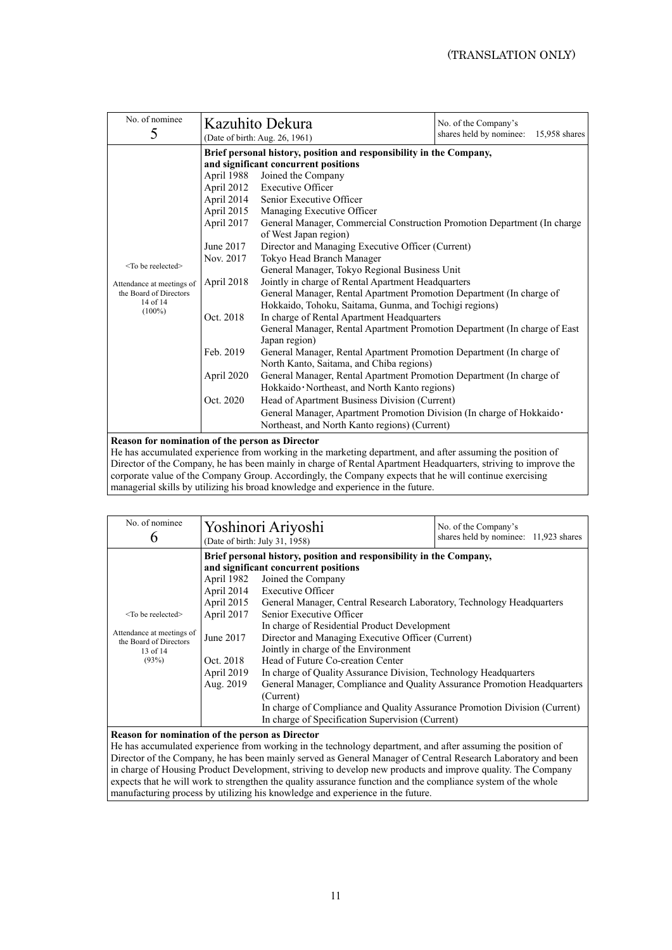| No. of nominee<br>5          |            | Kazuhito Dekura<br>(Date of birth: Aug. 26, 1961)                                                           | No. of the Company's<br>shares held by nominee:<br>15,958 shares |  |  |  |  |
|------------------------------|------------|-------------------------------------------------------------------------------------------------------------|------------------------------------------------------------------|--|--|--|--|
|                              |            | Brief personal history, position and responsibility in the Company,<br>and significant concurrent positions |                                                                  |  |  |  |  |
|                              | April 1988 | Joined the Company                                                                                          |                                                                  |  |  |  |  |
|                              | April 2012 | <b>Executive Officer</b>                                                                                    |                                                                  |  |  |  |  |
|                              | April 2014 | Senior Executive Officer                                                                                    |                                                                  |  |  |  |  |
|                              | April 2015 | Managing Executive Officer                                                                                  |                                                                  |  |  |  |  |
|                              | April 2017 | General Manager, Commercial Construction Promotion Department (In charge                                    |                                                                  |  |  |  |  |
|                              |            | of West Japan region)                                                                                       |                                                                  |  |  |  |  |
|                              | June 2017  | Director and Managing Executive Officer (Current)                                                           |                                                                  |  |  |  |  |
|                              | Nov. 2017  | Tokyo Head Branch Manager                                                                                   |                                                                  |  |  |  |  |
| <to be="" reelected=""></to> |            | General Manager, Tokyo Regional Business Unit                                                               |                                                                  |  |  |  |  |
| Attendance at meetings of    | April 2018 | Jointly in charge of Rental Apartment Headquarters                                                          |                                                                  |  |  |  |  |
| the Board of Directors       |            | General Manager, Rental Apartment Promotion Department (In charge of                                        |                                                                  |  |  |  |  |
| 14 of 14<br>$(100\%)$        |            | Hokkaido, Tohoku, Saitama, Gunma, and Tochigi regions)                                                      |                                                                  |  |  |  |  |
|                              | Oct. 2018  | In charge of Rental Apartment Headquarters                                                                  |                                                                  |  |  |  |  |
|                              |            | General Manager, Rental Apartment Promotion Department (In charge of East                                   |                                                                  |  |  |  |  |
|                              |            | Japan region)                                                                                               |                                                                  |  |  |  |  |
|                              | Feb. 2019  | General Manager, Rental Apartment Promotion Department (In charge of                                        |                                                                  |  |  |  |  |
|                              |            | North Kanto, Saitama, and Chiba regions)                                                                    |                                                                  |  |  |  |  |
|                              | April 2020 | General Manager, Rental Apartment Promotion Department (In charge of                                        |                                                                  |  |  |  |  |
|                              |            | Hokkaido · Northeast, and North Kanto regions)                                                              |                                                                  |  |  |  |  |
|                              | Oct. 2020  | Head of Apartment Business Division (Current)                                                               |                                                                  |  |  |  |  |
|                              |            | General Manager, Apartment Promotion Division (In charge of Hokkaido ·                                      |                                                                  |  |  |  |  |
|                              |            | Northeast, and North Kanto regions) (Current)                                                               |                                                                  |  |  |  |  |

**Reason for nomination of the person as Director** 

He has accumulated experience from working in the marketing department, and after assuming the position of Director of the Company, he has been mainly in charge of Rental Apartment Headquarters, striving to improve the corporate value of the Company Group. Accordingly, the Company expects that he will continue exercising managerial skills by utilizing his broad knowledge and experience in the future.

| No. of nominee<br>6                                                                                 |                                                                                             | Yoshinori Ariyoshi<br>No. of the Company's<br>shares held by nominee: 11,923 shares<br>(Date of birth: July 31, 1958)                                                                                                                                                                                                                                                                                                                                                                                                                                                                                                                                                                               |  |  |  |
|-----------------------------------------------------------------------------------------------------|---------------------------------------------------------------------------------------------|-----------------------------------------------------------------------------------------------------------------------------------------------------------------------------------------------------------------------------------------------------------------------------------------------------------------------------------------------------------------------------------------------------------------------------------------------------------------------------------------------------------------------------------------------------------------------------------------------------------------------------------------------------------------------------------------------------|--|--|--|
| $<$ To be reelected $>$<br>Attendance at meetings of<br>the Board of Directors<br>13 of 14<br>(93%) | April 1982<br>April 2015<br>April 2017<br>June 2017<br>Oct. 2018<br>April 2019<br>Aug. 2019 | Brief personal history, position and responsibility in the Company,<br>and significant concurrent positions<br>Joined the Company<br>April 2014 Executive Officer<br>General Manager, Central Research Laboratory, Technology Headquarters<br>Senior Executive Officer<br>In charge of Residential Product Development<br>Director and Managing Executive Officer (Current)<br>Jointly in charge of the Environment<br>Head of Future Co-creation Center<br>In charge of Quality Assurance Division, Technology Headquarters<br>General Manager, Compliance and Quality Assurance Promotion Headquarters<br>(Current)<br>In charge of Compliance and Quality Assurance Promotion Division (Current) |  |  |  |
|                                                                                                     |                                                                                             | In charge of Specification Supervision (Current)                                                                                                                                                                                                                                                                                                                                                                                                                                                                                                                                                                                                                                                    |  |  |  |

### **Reason for nomination of the person as Director**

He has accumulated experience from working in the technology department, and after assuming the position of Director of the Company, he has been mainly served as General Manager of Central Research Laboratory and been in charge of Housing Product Development, striving to develop new products and improve quality. The Company expects that he will work to strengthen the quality assurance function and the compliance system of the whole manufacturing process by utilizing his knowledge and experience in the future.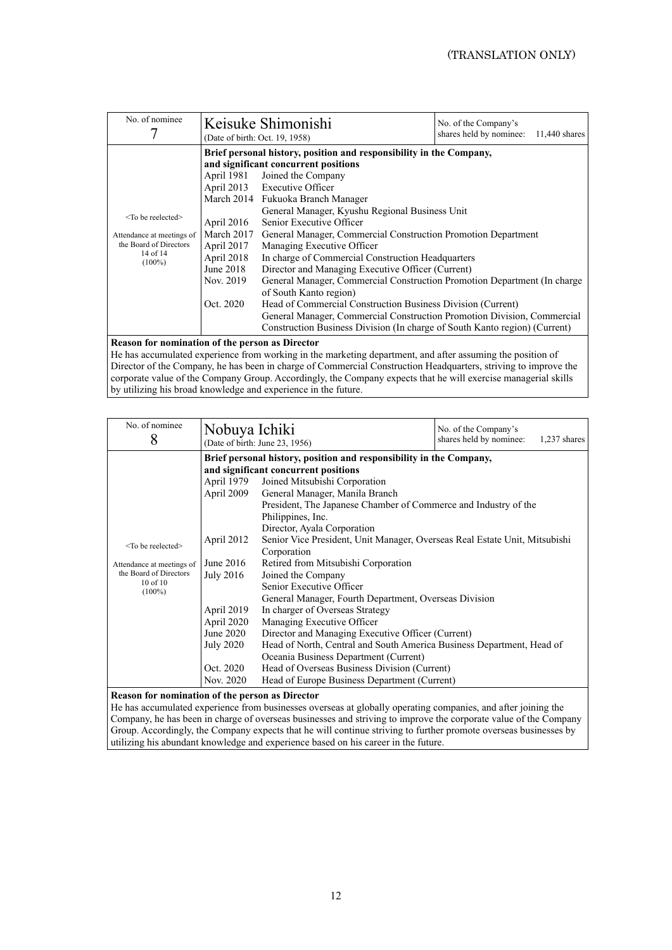| Brief personal history, position and responsibility in the Company,<br>and significant concurrent positions<br>April 1981<br>Joined the Company<br>April 2013 Executive Officer<br>March 2014 Fukuoka Branch Manager<br>General Manager, Kyushu Regional Business Unit<br>$<$ To be reelected $>$<br>Senior Executive Officer<br>April 2016<br>General Manager, Commercial Construction Promotion Department                                                                                                                                                                                 | No. of nominee            | Keisuke Shimonishi<br>No. of the Company's<br>shares held by nominee:<br>$11,440$ shares<br>(Date of birth: Oct. 19, 1958) |  |  |  |  |
|----------------------------------------------------------------------------------------------------------------------------------------------------------------------------------------------------------------------------------------------------------------------------------------------------------------------------------------------------------------------------------------------------------------------------------------------------------------------------------------------------------------------------------------------------------------------------------------------|---------------------------|----------------------------------------------------------------------------------------------------------------------------|--|--|--|--|
| the Board of Directors<br>April 2017<br>Managing Executive Officer<br>$14$ of $14$<br>April 2018<br>In charge of Commercial Construction Headquarters<br>$(100\%)$<br>June 2018<br>Director and Managing Executive Officer (Current)<br>General Manager, Commercial Construction Promotion Department (In charge<br>Nov. 2019<br>of South Kanto region)<br>Oct. 2020<br>Head of Commercial Construction Business Division (Current)<br>General Manager, Commercial Construction Promotion Division, Commercial<br>Construction Business Division (In charge of South Kanto region) (Current) | Attendance at meetings of | March 2017                                                                                                                 |  |  |  |  |

### **Reason for nomination of the person as Director**

He has accumulated experience from working in the marketing department, and after assuming the position of Director of the Company, he has been in charge of Commercial Construction Headquarters, striving to improve the corporate value of the Company Group. Accordingly, the Company expects that he will exercise managerial skills by utilizing his broad knowledge and experience in the future.

| No. of nominee<br>8                                                                                         | Nobuya Ichiki                                                                                                                                      | (Date of birth: June 23, 1956)                                                                                                                                                                                                                                                                                                                                                                                                                                                                                                                                                                                                                                                                                                                                                                                                                                                               | No. of the Company's<br>shares held by nominee: | $1,237$ shares |
|-------------------------------------------------------------------------------------------------------------|----------------------------------------------------------------------------------------------------------------------------------------------------|----------------------------------------------------------------------------------------------------------------------------------------------------------------------------------------------------------------------------------------------------------------------------------------------------------------------------------------------------------------------------------------------------------------------------------------------------------------------------------------------------------------------------------------------------------------------------------------------------------------------------------------------------------------------------------------------------------------------------------------------------------------------------------------------------------------------------------------------------------------------------------------------|-------------------------------------------------|----------------|
| $<$ To be reelected $>$<br>Attendance at meetings of<br>the Board of Directors<br>$10$ of $10$<br>$(100\%)$ | April 1979<br>April 2009<br>April 2012<br>June $2016$<br>July 2016<br>April 2019<br>April 2020<br>June 2020<br>July 2020<br>Oct. 2020<br>Nov. 2020 | Brief personal history, position and responsibility in the Company,<br>and significant concurrent positions<br>Joined Mitsubishi Corporation<br>General Manager, Manila Branch<br>President, The Japanese Chamber of Commerce and Industry of the<br>Philippines, Inc.<br>Director, Ayala Corporation<br>Senior Vice President, Unit Manager, Overseas Real Estate Unit, Mitsubishi<br>Corporation<br>Retired from Mitsubishi Corporation<br>Joined the Company<br>Senior Executive Officer<br>General Manager, Fourth Department, Overseas Division<br>In charger of Overseas Strategy<br>Managing Executive Officer<br>Director and Managing Executive Officer (Current)<br>Head of North, Central and South America Business Department, Head of<br>Oceania Business Department (Current)<br>Head of Overseas Business Division (Current)<br>Head of Europe Business Department (Current) |                                                 |                |

#### **Reason for nomination of the person as Director**

He has accumulated experience from businesses overseas at globally operating companies, and after joining the Company, he has been in charge of overseas businesses and striving to improve the corporate value of the Company Group. Accordingly, the Company expects that he will continue striving to further promote overseas businesses by utilizing his abundant knowledge and experience based on his career in the future.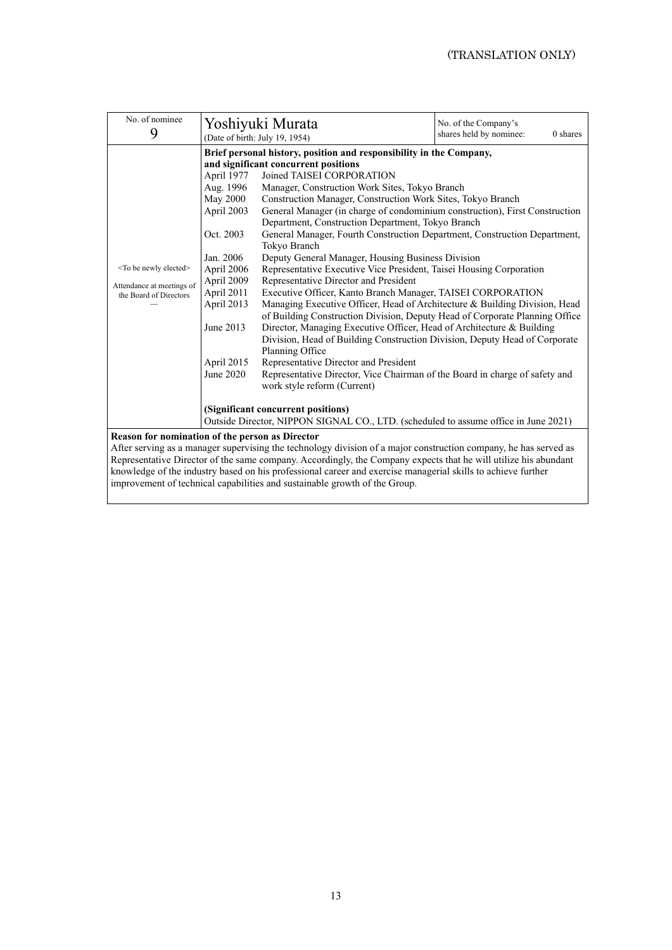| No. of nominee<br>9                                                                                                                                                                                                                                                                                                                                                                                                                                                                           |                                                                                                                                                                                    | Yoshiyuki Murata<br>(Date of birth: July 19, 1954)                                                                                                                                                                                                                                                                                                                                                                                                                                                                                                                                                                                                                                                                                                                                                                                                                                                                                                                                                                                                                                                                                                                                                                                                                 | No. of the Company's<br>0 shares<br>shares held by nominee: |
|-----------------------------------------------------------------------------------------------------------------------------------------------------------------------------------------------------------------------------------------------------------------------------------------------------------------------------------------------------------------------------------------------------------------------------------------------------------------------------------------------|------------------------------------------------------------------------------------------------------------------------------------------------------------------------------------|--------------------------------------------------------------------------------------------------------------------------------------------------------------------------------------------------------------------------------------------------------------------------------------------------------------------------------------------------------------------------------------------------------------------------------------------------------------------------------------------------------------------------------------------------------------------------------------------------------------------------------------------------------------------------------------------------------------------------------------------------------------------------------------------------------------------------------------------------------------------------------------------------------------------------------------------------------------------------------------------------------------------------------------------------------------------------------------------------------------------------------------------------------------------------------------------------------------------------------------------------------------------|-------------------------------------------------------------|
| <to be="" elected="" newly=""><br/>Attendance at meetings of<br/>the Board of Directors</to>                                                                                                                                                                                                                                                                                                                                                                                                  | April 1977<br>Aug. 1996<br><b>May 2000</b><br>April 2003<br>Oct. 2003<br>Jan. 2006<br>April 2006<br>April 2009<br>April 2011<br>April 2013<br>June 2013<br>April 2015<br>June 2020 | Brief personal history, position and responsibility in the Company,<br>and significant concurrent positions<br>Joined TAISEI CORPORATION<br>Manager, Construction Work Sites, Tokyo Branch<br>Construction Manager, Construction Work Sites, Tokyo Branch<br>General Manager (in charge of condominium construction), First Construction<br>Department, Construction Department, Tokyo Branch<br>General Manager, Fourth Construction Department, Construction Department,<br>Tokyo Branch<br>Deputy General Manager, Housing Business Division<br>Representative Executive Vice President, Taisei Housing Corporation<br>Representative Director and President<br>Executive Officer, Kanto Branch Manager, TAISEI CORPORATION<br>Managing Executive Officer, Head of Architecture & Building Division, Head<br>of Building Construction Division, Deputy Head of Corporate Planning Office<br>Director, Managing Executive Officer, Head of Architecture & Building<br>Division, Head of Building Construction Division, Deputy Head of Corporate<br>Planning Office<br>Representative Director and President<br>Representative Director, Vice Chairman of the Board in charge of safety and<br>work style reform (Current)<br>(Significant concurrent positions) |                                                             |
| Outside Director, NIPPON SIGNAL CO., LTD. (scheduled to assume office in June 2021)<br>Reason for nomination of the person as Director<br>After serving as a manager supervising the technology division of a major construction company, he has served as<br>Representative Director of the same company. Accordingly, the Company expects that he will utilize his abundant<br>knowledge of the industry based on his professional career and exercise managerial skills to achieve further |                                                                                                                                                                                    |                                                                                                                                                                                                                                                                                                                                                                                                                                                                                                                                                                                                                                                                                                                                                                                                                                                                                                                                                                                                                                                                                                                                                                                                                                                                    |                                                             |

improvement of technical capabilities and sustainable growth of the Group.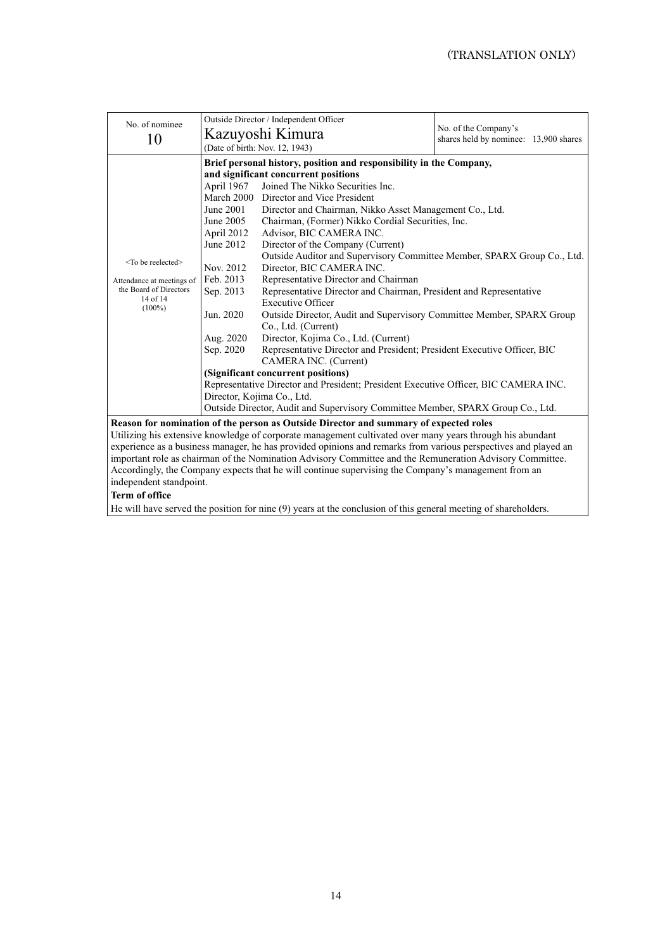|                                                                                                           | Outside Director / Independent Officer                                              |                                                                                                                |                                                               |  |  |
|-----------------------------------------------------------------------------------------------------------|-------------------------------------------------------------------------------------|----------------------------------------------------------------------------------------------------------------|---------------------------------------------------------------|--|--|
| No. of nominee                                                                                            | Kazuyoshi Kimura                                                                    |                                                                                                                | No. of the Company's<br>shares held by nominee: 13,900 shares |  |  |
| 10                                                                                                        | (Date of birth: Nov. 12, 1943)                                                      |                                                                                                                |                                                               |  |  |
|                                                                                                           |                                                                                     |                                                                                                                |                                                               |  |  |
|                                                                                                           |                                                                                     | Brief personal history, position and responsibility in the Company,                                            |                                                               |  |  |
|                                                                                                           | and significant concurrent positions                                                |                                                                                                                |                                                               |  |  |
|                                                                                                           | April 1967                                                                          | Joined The Nikko Securities Inc.                                                                               |                                                               |  |  |
|                                                                                                           |                                                                                     | March 2000 Director and Vice President                                                                         |                                                               |  |  |
|                                                                                                           | June 2001                                                                           | Director and Chairman, Nikko Asset Management Co., Ltd.                                                        |                                                               |  |  |
|                                                                                                           | June 2005                                                                           | Chairman, (Former) Nikko Cordial Securities, Inc.                                                              |                                                               |  |  |
|                                                                                                           | April 2012                                                                          | Advisor, BIC CAMERA INC.                                                                                       |                                                               |  |  |
|                                                                                                           | June 2012                                                                           | Director of the Company (Current)                                                                              |                                                               |  |  |
| $<$ To be reelected $>$                                                                                   |                                                                                     | Outside Auditor and Supervisory Committee Member, SPARX Group Co., Ltd.                                        |                                                               |  |  |
|                                                                                                           | Nov. 2012<br>Director, BIC CAMERA INC.                                              |                                                                                                                |                                                               |  |  |
| Attendance at meetings of                                                                                 | Feb. 2013                                                                           | Representative Director and Chairman                                                                           |                                                               |  |  |
| the Board of Directors                                                                                    | Sep. 2013                                                                           | Representative Director and Chairman, President and Representative                                             |                                                               |  |  |
| 14 of 14<br>$(100\%)$                                                                                     |                                                                                     | Executive Officer                                                                                              |                                                               |  |  |
|                                                                                                           | Jun. 2020                                                                           | Outside Director, Audit and Supervisory Committee Member, SPARX Group                                          |                                                               |  |  |
|                                                                                                           |                                                                                     | Co., Ltd. (Current)                                                                                            |                                                               |  |  |
|                                                                                                           | Aug. 2020                                                                           | Director, Kojima Co., Ltd. (Current)                                                                           |                                                               |  |  |
|                                                                                                           | Sep. 2020                                                                           | Representative Director and President; President Executive Officer, BIC                                        |                                                               |  |  |
|                                                                                                           |                                                                                     | CAMERA INC. (Current)                                                                                          |                                                               |  |  |
|                                                                                                           | (Significant concurrent positions)                                                  |                                                                                                                |                                                               |  |  |
|                                                                                                           | Representative Director and President; President Executive Officer, BIC CAMERA INC. |                                                                                                                |                                                               |  |  |
|                                                                                                           | Director, Kojima Co., Ltd.                                                          |                                                                                                                |                                                               |  |  |
|                                                                                                           | Outside Director, Audit and Supervisory Committee Member, SPARX Group Co., Ltd.     |                                                                                                                |                                                               |  |  |
| Reason for nomination of the person as Outside Director and summary of expected roles                     |                                                                                     |                                                                                                                |                                                               |  |  |
| Utilizing his extensive knowledge of corporate management cultivated over many years through his abundant |                                                                                     |                                                                                                                |                                                               |  |  |
|                                                                                                           |                                                                                     | experience as a business manager, he has provided opinions and remarks from various perspectives and played an |                                                               |  |  |

experience as a business manager, he has provided opinions and remarks from various perspectives and played an important role as chairman of the Nomination Advisory Committee and the Remuneration Advisory Committee. Accordingly, the Company expects that he will continue supervising the Company's management from an independent standpoint.

# **Term of office**

He will have served the position for nine (9) years at the conclusion of this general meeting of shareholders.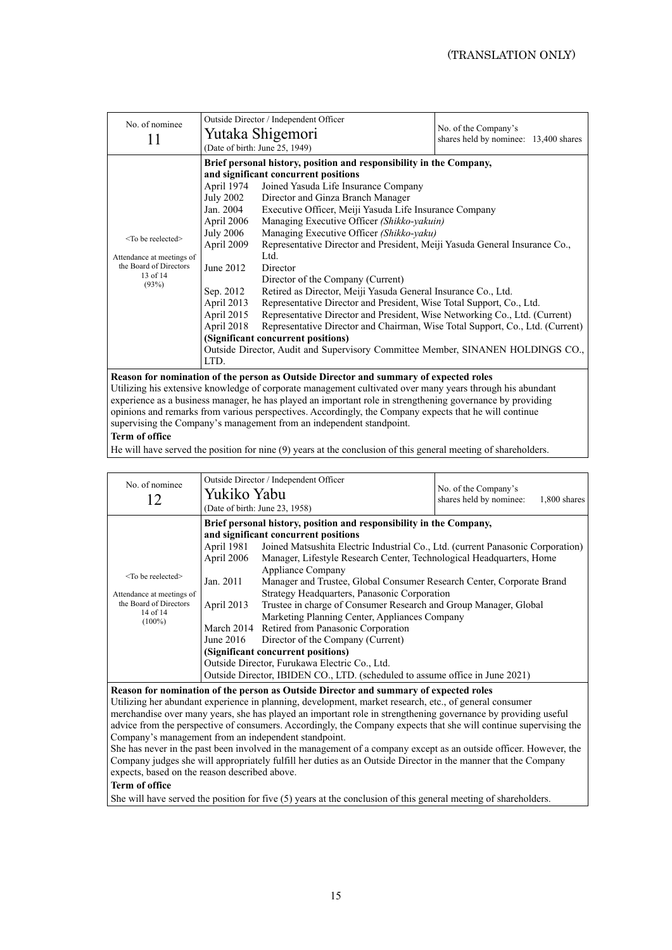| No. of nominee                                                                                                                         | Outside Director / Independent Officer<br>Yutaka Shigemori<br>(Date of birth: June 25, 1949)                                                                     |                                                                                                                                                                                                                                                                                                                                                                                                                                                                                                                                                                                                                                                                                                                                                                                                                                                                                                                      | No. of the Company's<br>shares held by nominee: 13,400 shares |
|----------------------------------------------------------------------------------------------------------------------------------------|------------------------------------------------------------------------------------------------------------------------------------------------------------------|----------------------------------------------------------------------------------------------------------------------------------------------------------------------------------------------------------------------------------------------------------------------------------------------------------------------------------------------------------------------------------------------------------------------------------------------------------------------------------------------------------------------------------------------------------------------------------------------------------------------------------------------------------------------------------------------------------------------------------------------------------------------------------------------------------------------------------------------------------------------------------------------------------------------|---------------------------------------------------------------|
| <to be="" reelected=""><br/>Attendance at meetings of<br/>the Board of Directors<br/><math>13</math> of <math>14</math><br/>(93%)</to> | April 1974<br>July 2002<br>Jan. 2004<br>April 2006<br><b>July 2006</b><br>April 2009<br>June 2012<br>Sep. 2012<br>April 2013<br>April 2015<br>April 2018<br>LTD. | Brief personal history, position and responsibility in the Company,<br>and significant concurrent positions<br>Joined Yasuda Life Insurance Company<br>Director and Ginza Branch Manager<br>Executive Officer, Meiji Yasuda Life Insurance Company<br>Managing Executive Officer (Shikko-yakuin)<br>Managing Executive Officer (Shikko-yaku)<br>Representative Director and President, Meiji Yasuda General Insurance Co.,<br>Ltd.<br>Director<br>Director of the Company (Current)<br>Retired as Director, Meiji Yasuda General Insurance Co., Ltd.<br>Representative Director and President, Wise Total Support, Co., Ltd.<br>Representative Director and President, Wise Networking Co., Ltd. (Current)<br>Representative Director and Chairman, Wise Total Support, Co., Ltd. (Current)<br>(Significant concurrent positions)<br>Outside Director, Audit and Supervisory Committee Member, SINANEN HOLDINGS CO., |                                                               |
|                                                                                                                                        |                                                                                                                                                                  |                                                                                                                                                                                                                                                                                                                                                                                                                                                                                                                                                                                                                                                                                                                                                                                                                                                                                                                      |                                                               |

**Reason for nomination of the person as Outside Director and summary of expected roles**  Utilizing his extensive knowledge of corporate management cultivated over many years through his abundant experience as a business manager, he has played an important role in strengthening governance by providing opinions and remarks from various perspectives. Accordingly, the Company expects that he will continue supervising the Company's management from an independent standpoint.

#### **Term of office**

He will have served the position for nine (9) years at the conclusion of this general meeting of shareholders.

| No. of nominee                                                                                          | Yukiko Yabu                                                                                                 | Outside Director / Independent Officer<br>(Date of birth: June 23, 1958)                                                                   | No. of the Company's<br>shares held by nominee:<br>1,800 shares |  |  |
|---------------------------------------------------------------------------------------------------------|-------------------------------------------------------------------------------------------------------------|--------------------------------------------------------------------------------------------------------------------------------------------|-----------------------------------------------------------------|--|--|
|                                                                                                         | Brief personal history, position and responsibility in the Company,<br>and significant concurrent positions |                                                                                                                                            |                                                                 |  |  |
| $<$ To be reelected $>$<br>Attendance at meetings of<br>the Board of Directors<br>14 of 14<br>$(100\%)$ | April 1981                                                                                                  | Joined Matsushita Electric Industrial Co., Ltd. (current Panasonic Corporation)                                                            |                                                                 |  |  |
|                                                                                                         | April 2006                                                                                                  | Manager, Lifestyle Research Center, Technological Headquarters, Home                                                                       |                                                                 |  |  |
|                                                                                                         | Jan. 2011                                                                                                   | Appliance Company<br>Manager and Trustee, Global Consumer Research Center, Corporate Brand<br>Strategy Headquarters, Panasonic Corporation |                                                                 |  |  |
|                                                                                                         | April 2013                                                                                                  | Trustee in charge of Consumer Research and Group Manager, Global                                                                           |                                                                 |  |  |
|                                                                                                         |                                                                                                             | Marketing Planning Center, Appliances Company                                                                                              |                                                                 |  |  |
|                                                                                                         |                                                                                                             | March 2014 Retired from Panasonic Corporation                                                                                              |                                                                 |  |  |
|                                                                                                         | June 2016                                                                                                   | Director of the Company (Current)                                                                                                          |                                                                 |  |  |
|                                                                                                         | (Significant concurrent positions)                                                                          |                                                                                                                                            |                                                                 |  |  |
|                                                                                                         | Outside Director, Furukawa Electric Co., Ltd.                                                               |                                                                                                                                            |                                                                 |  |  |
|                                                                                                         | Outside Director, IBIDEN CO., LTD. (scheduled to assume office in June 2021)                                |                                                                                                                                            |                                                                 |  |  |

### **Reason for nomination of the person as Outside Director and summary of expected roles**

Utilizing her abundant experience in planning, development, market research, etc., of general consumer merchandise over many years, she has played an important role in strengthening governance by providing useful advice from the perspective of consumers. Accordingly, the Company expects that she will continue supervising the Company's management from an independent standpoint.

She has never in the past been involved in the management of a company except as an outside officer. However, the Company judges she will appropriately fulfill her duties as an Outside Director in the manner that the Company expects, based on the reason described above.

#### **Term of office**

She will have served the position for five (5) years at the conclusion of this general meeting of shareholders.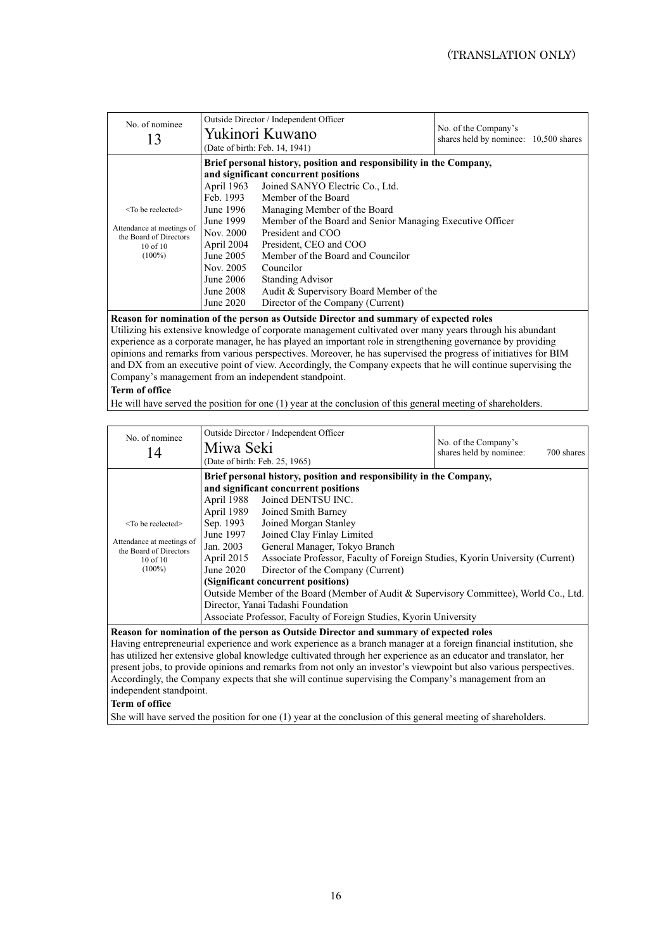| No. of nominee<br>13                                                             |                                                                                                         | Outside Director / Independent Officer<br>Yukinori Kuwano<br>(Date of birth: Feb. 14, 1941)                                                                                                                                                                           | No. of the Company's<br>shares held by nominee: 10,500 shares |  |
|----------------------------------------------------------------------------------|---------------------------------------------------------------------------------------------------------|-----------------------------------------------------------------------------------------------------------------------------------------------------------------------------------------------------------------------------------------------------------------------|---------------------------------------------------------------|--|
| $<$ To be reelected $>$                                                          | Feb. 1993<br>June 1996                                                                                  | Brief personal history, position and responsibility in the Company,<br>and significant concurrent positions<br>April 1963 Joined SANYO Electric Co., Ltd.<br>Member of the Board<br>Managing Member of the Board                                                      |                                                               |  |
| Attendance at meetings of<br>the Board of Directors<br>$10$ of $10$<br>$(100\%)$ | June 1999<br>Nov. 2000<br>April 2004<br>June 2005<br>Nov. 2005<br>June $2006$<br>June 2008<br>June 2020 | Member of the Board and Senior Managing Executive Officer<br>President and COO<br>President, CEO and COO<br>Member of the Board and Councilor<br>Councilor<br><b>Standing Advisor</b><br>Audit & Supervisory Board Member of the<br>Director of the Company (Current) |                                                               |  |

### **Reason for nomination of the person as Outside Director and summary of expected roles**

Utilizing his extensive knowledge of corporate management cultivated over many years through his abundant experience as a corporate manager, he has played an important role in strengthening governance by providing opinions and remarks from various perspectives. Moreover, he has supervised the progress of initiatives for BIM and DX from an executive point of view. Accordingly, the Company expects that he will continue supervising the Company's management from an independent standpoint.

## **Term of office**

He will have served the position for one (1) year at the conclusion of this general meeting of shareholders.

| (Date of birth: Feb. 25, 1965)                                                                                                                                                                                                                                                                                                                                                                                                                                                                                                                                                                                                                                                                                                                                                                                                                                                                                                                                                     | No. of nominee<br>14 |
|------------------------------------------------------------------------------------------------------------------------------------------------------------------------------------------------------------------------------------------------------------------------------------------------------------------------------------------------------------------------------------------------------------------------------------------------------------------------------------------------------------------------------------------------------------------------------------------------------------------------------------------------------------------------------------------------------------------------------------------------------------------------------------------------------------------------------------------------------------------------------------------------------------------------------------------------------------------------------------|----------------------|
| Brief personal history, position and responsibility in the Company,<br>and significant concurrent positions<br>Joined DENTSU INC.<br>April 1988<br>April 1989<br>Joined Smith Barney<br>Sep. 1993<br>Joined Morgan Stanley<br><to be="" reelected=""><br/>Joined Clay Finlay Limited<br/>June 1997<br/>Attendance at meetings of<br/>General Manager, Tokyo Branch<br/>Jan. 2003<br/>the Board of Directors<br/>April 2015<br/>Associate Professor, Faculty of Foreign Studies, Kyorin University (Current)<br/><math>10</math> of <math>10</math><br/><math>(100\%)</math><br/>June 2020<br/>Director of the Company (Current)<br/>(Significant concurrent positions)<br/>Outside Member of the Board (Member of Audit &amp; Supervisory Committee), World Co., Ltd.<br/>Director, Yanai Tadashi Foundation<br/>Associate Professor, Faculty of Foreign Studies, Kyorin University<br/>December 5 perception of the narrow as Outside Director and summary of expected relax</to> |                      |

**Reason for nomination of the person as Outside Director and summary of expected roles**  Having entrepreneurial experience and work experience as a branch manager at a foreign financial institution, she has utilized her extensive global knowledge cultivated through her experience as an educator and translator, her present jobs, to provide opinions and remarks from not only an investor's viewpoint but also various perspectives. Accordingly, the Company expects that she will continue supervising the Company's management from an independent standpoint.

#### **Term of office**

She will have served the position for one (1) year at the conclusion of this general meeting of shareholders.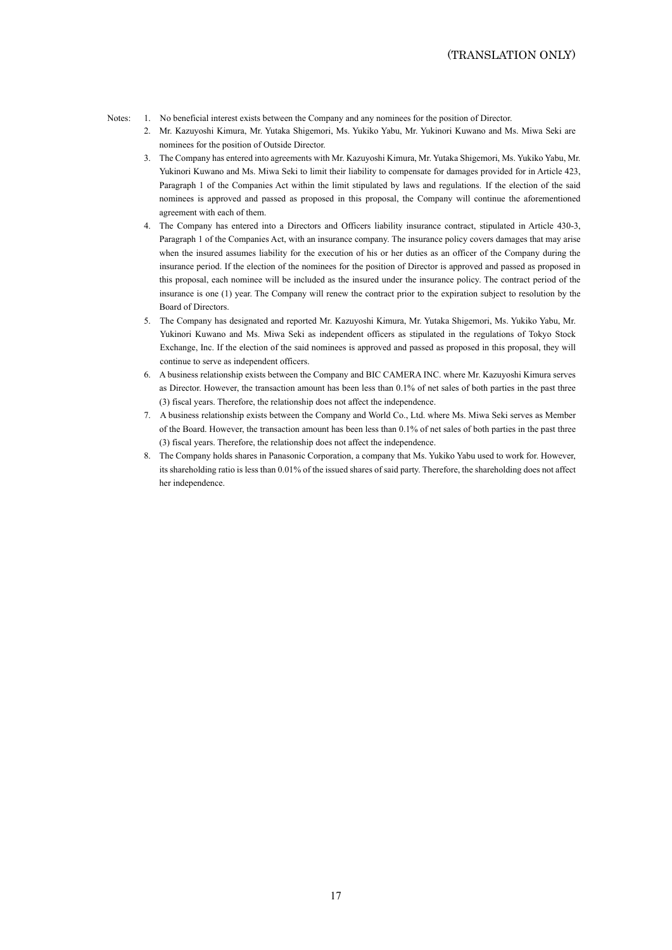- Notes: 1. No beneficial interest exists between the Company and any nominees for the position of Director.
	- 2. Mr. Kazuyoshi Kimura, Mr. Yutaka Shigemori, Ms. Yukiko Yabu, Mr. Yukinori Kuwano and Ms. Miwa Seki are nominees for the position of Outside Director.
	- 3. The Company has entered into agreements with Mr. Kazuyoshi Kimura, Mr. Yutaka Shigemori, Ms. Yukiko Yabu, Mr. Yukinori Kuwano and Ms. Miwa Seki to limit their liability to compensate for damages provided for in Article 423, Paragraph 1 of the Companies Act within the limit stipulated by laws and regulations. If the election of the said nominees is approved and passed as proposed in this proposal, the Company will continue the aforementioned agreement with each of them.
	- 4. The Company has entered into a Directors and Officers liability insurance contract, stipulated in Article 430-3, Paragraph 1 of the Companies Act, with an insurance company. The insurance policy covers damages that may arise when the insured assumes liability for the execution of his or her duties as an officer of the Company during the insurance period. If the election of the nominees for the position of Director is approved and passed as proposed in this proposal, each nominee will be included as the insured under the insurance policy. The contract period of the insurance is one (1) year. The Company will renew the contract prior to the expiration subject to resolution by the Board of Directors.
	- 5. The Company has designated and reported Mr. Kazuyoshi Kimura, Mr. Yutaka Shigemori, Ms. Yukiko Yabu, Mr. Yukinori Kuwano and Ms. Miwa Seki as independent officers as stipulated in the regulations of Tokyo Stock Exchange, Inc. If the election of the said nominees is approved and passed as proposed in this proposal, they will continue to serve as independent officers.
	- 6. A business relationship exists between the Company and BIC CAMERA INC. where Mr. Kazuyoshi Kimura serves as Director. However, the transaction amount has been less than 0.1% of net sales of both parties in the past three (3) fiscal years. Therefore, the relationship does not affect the independence.
	- 7. A business relationship exists between the Company and World Co., Ltd. where Ms. Miwa Seki serves as Member of the Board. However, the transaction amount has been less than 0.1% of net sales of both parties in the past three (3) fiscal years. Therefore, the relationship does not affect the independence.
	- 8. The Company holds shares in Panasonic Corporation, a company that Ms. Yukiko Yabu used to work for. However, its shareholding ratio is less than 0.01% of the issued shares of said party. Therefore, the shareholding does not affect her independence.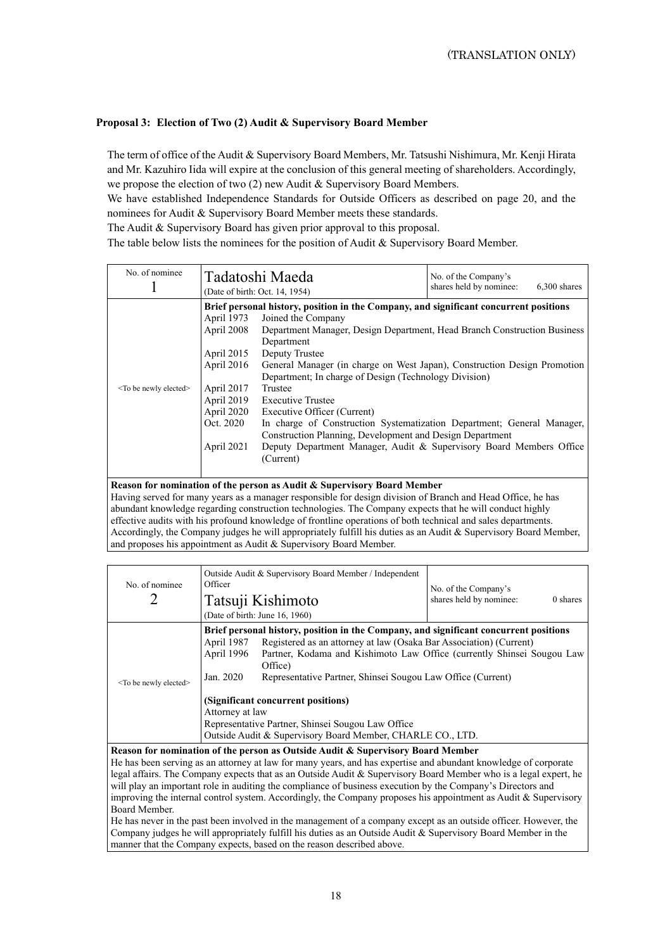# **Proposal 3: Election of Two (2) Audit & Supervisory Board Member**

The term of office of the Audit & Supervisory Board Members, Mr. Tatsushi Nishimura, Mr. Kenji Hirata and Mr. Kazuhiro Iida will expire at the conclusion of this general meeting of shareholders. Accordingly, we propose the election of two (2) new Audit & Supervisory Board Members.

We have established Independence Standards for Outside Officers as described on page 20, and the nominees for Audit & Supervisory Board Member meets these standards.

The Audit & Supervisory Board has given prior approval to this proposal.

The table below lists the nominees for the position of Audit & Supervisory Board Member.

| No. of nominee                                                          | Tadatoshi Maeda<br>(Date of birth: Oct. 14, 1954)                                     |                                                                          | No. of the Company's<br>shares held by nominee:<br>6,300 shares |  |  |
|-------------------------------------------------------------------------|---------------------------------------------------------------------------------------|--------------------------------------------------------------------------|-----------------------------------------------------------------|--|--|
|                                                                         | Brief personal history, position in the Company, and significant concurrent positions |                                                                          |                                                                 |  |  |
|                                                                         | April 1973                                                                            | Joined the Company                                                       |                                                                 |  |  |
|                                                                         | April 2008                                                                            | Department Manager, Design Department, Head Branch Construction Business |                                                                 |  |  |
|                                                                         |                                                                                       | Department                                                               |                                                                 |  |  |
|                                                                         | April 2015                                                                            | Deputy Trustee                                                           |                                                                 |  |  |
|                                                                         | April 2016                                                                            | General Manager (in charge on West Japan), Construction Design Promotion |                                                                 |  |  |
|                                                                         |                                                                                       | Department; In charge of Design (Technology Division)                    |                                                                 |  |  |
| <to be="" elected="" newly=""></to>                                     | April 2017                                                                            | Trustee                                                                  |                                                                 |  |  |
|                                                                         | April 2019                                                                            | <b>Executive Trustee</b>                                                 |                                                                 |  |  |
|                                                                         | April 2020                                                                            | Executive Officer (Current)                                              |                                                                 |  |  |
|                                                                         | Oct. 2020                                                                             | In charge of Construction Systematization Department; General Manager,   |                                                                 |  |  |
|                                                                         |                                                                                       | Construction Planning, Development and Design Department                 |                                                                 |  |  |
|                                                                         | April 2021                                                                            | Deputy Department Manager, Audit & Supervisory Board Members Office      |                                                                 |  |  |
|                                                                         |                                                                                       | (Current)                                                                |                                                                 |  |  |
|                                                                         |                                                                                       |                                                                          |                                                                 |  |  |
| Reason for nomination of the person as Audit & Supervisory Board Member |                                                                                       |                                                                          |                                                                 |  |  |

Having served for many years as a manager responsible for design division of Branch and Head Office, he has abundant knowledge regarding construction technologies. The Company expects that he will conduct highly effective audits with his profound knowledge of frontline operations of both technical and sales departments. Accordingly, the Company judges he will appropriately fulfill his duties as an Audit & Supervisory Board Member, and proposes his appointment as Audit & Supervisory Board Member.

| No. of nominee                                                                  | Outside Audit & Supervisory Board Member / Independent<br>Officer<br>Tatsuji Kishimoto<br>(Date of birth: June 16, 1960) |                                                                    | No. of the Company's<br>shares held by nominee:<br>0 shares |  |  |
|---------------------------------------------------------------------------------|--------------------------------------------------------------------------------------------------------------------------|--------------------------------------------------------------------|-------------------------------------------------------------|--|--|
|                                                                                 | Brief personal history, position in the Company, and significant concurrent positions                                    |                                                                    |                                                             |  |  |
| <to be="" elected="" newly=""></to>                                             | April 1987                                                                                                               | Registered as an attorney at law (Osaka Bar Association) (Current) |                                                             |  |  |
|                                                                                 | April 1996<br>Partner, Kodama and Kishimoto Law Office (currently Shinsei Sougou Law                                     |                                                                    |                                                             |  |  |
|                                                                                 |                                                                                                                          | Office)                                                            |                                                             |  |  |
|                                                                                 | Jan. 2020                                                                                                                | Representative Partner, Shinsei Sougou Law Office (Current)        |                                                             |  |  |
|                                                                                 |                                                                                                                          |                                                                    |                                                             |  |  |
|                                                                                 | (Significant concurrent positions)                                                                                       |                                                                    |                                                             |  |  |
|                                                                                 | Attorney at law                                                                                                          |                                                                    |                                                             |  |  |
|                                                                                 | Representative Partner, Shinsei Sougou Law Office                                                                        |                                                                    |                                                             |  |  |
|                                                                                 | Outside Audit & Supervisory Board Member, CHARLE CO., LTD.                                                               |                                                                    |                                                             |  |  |
| Reason for nomination of the person as Outside Audit & Supervisory Board Member |                                                                                                                          |                                                                    |                                                             |  |  |

He has been serving as an attorney at law for many years, and has expertise and abundant knowledge of corporate legal affairs. The Company expects that as an Outside Audit & Supervisory Board Member who is a legal expert, he will play an important role in auditing the compliance of business execution by the Company's Directors and improving the internal control system. Accordingly, the Company proposes his appointment as Audit & Supervisory Board Member.

He has never in the past been involved in the management of a company except as an outside officer. However, the Company judges he will appropriately fulfill his duties as an Outside Audit & Supervisory Board Member in the manner that the Company expects, based on the reason described above.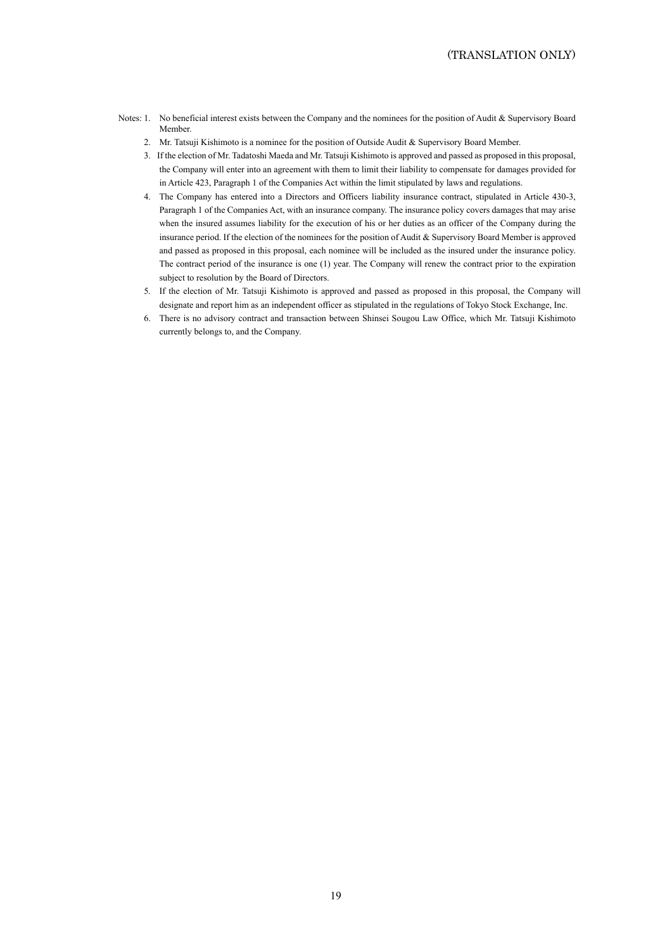- Notes: 1. No beneficial interest exists between the Company and the nominees for the position of Audit & Supervisory Board Member.
	- 2. Mr. Tatsuji Kishimoto is a nominee for the position of Outside Audit & Supervisory Board Member.
	- 3. If the election of Mr. Tadatoshi Maeda and Mr. Tatsuji Kishimoto is approved and passed as proposed in this proposal, the Company will enter into an agreement with them to limit their liability to compensate for damages provided for in Article 423, Paragraph 1 of the Companies Act within the limit stipulated by laws and regulations.
	- 4. The Company has entered into a Directors and Officers liability insurance contract, stipulated in Article 430-3, Paragraph 1 of the Companies Act, with an insurance company. The insurance policy covers damages that may arise when the insured assumes liability for the execution of his or her duties as an officer of the Company during the insurance period. If the election of the nominees for the position of Audit & Supervisory Board Member is approved and passed as proposed in this proposal, each nominee will be included as the insured under the insurance policy. The contract period of the insurance is one (1) year. The Company will renew the contract prior to the expiration subject to resolution by the Board of Directors.
	- 5. If the election of Mr. Tatsuji Kishimoto is approved and passed as proposed in this proposal, the Company will designate and report him as an independent officer as stipulated in the regulations of Tokyo Stock Exchange, Inc.
	- 6. There is no advisory contract and transaction between Shinsei Sougou Law Office, which Mr. Tatsuji Kishimoto currently belongs to, and the Company.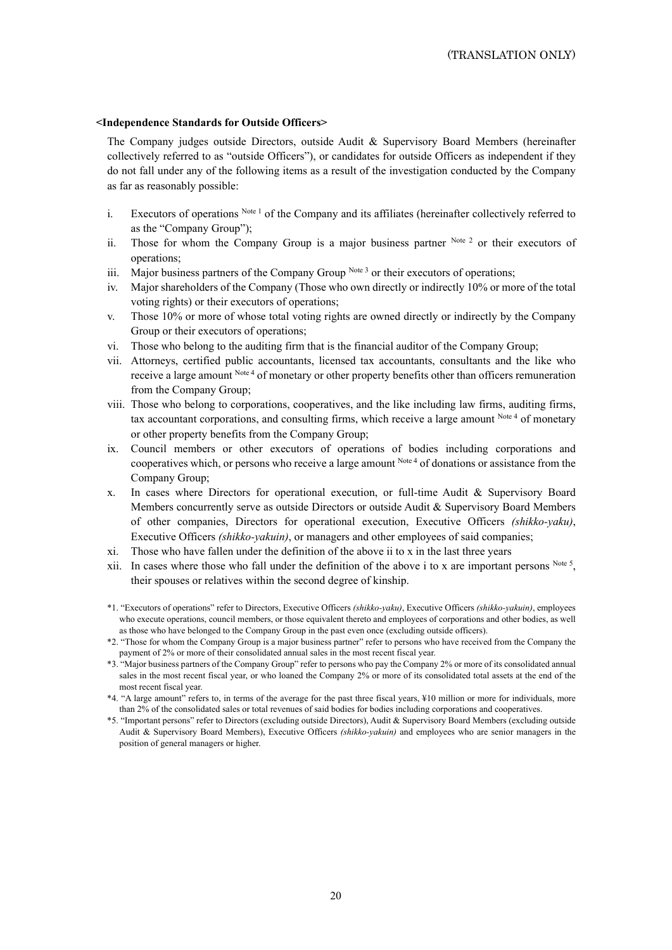### **<Independence Standards for Outside Officers>**

The Company judges outside Directors, outside Audit & Supervisory Board Members (hereinafter collectively referred to as "outside Officers"), or candidates for outside Officers as independent if they do not fall under any of the following items as a result of the investigation conducted by the Company as far as reasonably possible:

- i. Executors of operations Note 1 of the Company and its affiliates (hereinafter collectively referred to as the "Company Group");
- ii. Those for whom the Company Group is a major business partner  $N<sub>ote</sub>$  2 or their executors of operations;
- iii. Major business partners of the Company Group  $N^{ote 3}$  or their executors of operations;
- iv. Major shareholders of the Company (Those who own directly or indirectly 10% or more of the total voting rights) or their executors of operations;
- v. Those 10% or more of whose total voting rights are owned directly or indirectly by the Company Group or their executors of operations;
- vi. Those who belong to the auditing firm that is the financial auditor of the Company Group;
- vii. Attorneys, certified public accountants, licensed tax accountants, consultants and the like who receive a large amount Note 4 of monetary or other property benefits other than officers remuneration from the Company Group;
- viii. Those who belong to corporations, cooperatives, and the like including law firms, auditing firms, tax accountant corporations, and consulting firms, which receive a large amount Note 4 of monetary or other property benefits from the Company Group;
- ix. Council members or other executors of operations of bodies including corporations and cooperatives which, or persons who receive a large amount Note 4 of donations or assistance from the Company Group;
- x. In cases where Directors for operational execution, or full-time Audit & Supervisory Board Members concurrently serve as outside Directors or outside Audit & Supervisory Board Members of other companies, Directors for operational execution, Executive Officers *(shikko-yaku)*, Executive Officers *(shikko-yakuin)*, or managers and other employees of said companies;
- xi. Those who have fallen under the definition of the above ii to x in the last three years
- xii. In cases where those who fall under the definition of the above i to x are important persons  $N_{\text{ote}}$  5, their spouses or relatives within the second degree of kinship.
- \*1. "Executors of operations" refer to Directors, Executive Officers *(shikko-yaku)*, Executive Officers *(shikko-yakuin)*, employees who execute operations, council members, or those equivalent thereto and employees of corporations and other bodies, as well as those who have belonged to the Company Group in the past even once (excluding outside officers).
- \*2. "Those for whom the Company Group is a major business partner" refer to persons who have received from the Company the payment of 2% or more of their consolidated annual sales in the most recent fiscal year.
- \*3. "Major business partners of the Company Group" refer to persons who pay the Company 2% or more of its consolidated annual sales in the most recent fiscal year, or who loaned the Company 2% or more of its consolidated total assets at the end of the most recent fiscal year.
- \*4. "A large amount" refers to, in terms of the average for the past three fiscal years, ¥10 million or more for individuals, more than 2% of the consolidated sales or total revenues of said bodies for bodies including corporations and cooperatives.
- \*5. "Important persons" refer to Directors (excluding outside Directors), Audit & Supervisory Board Members (excluding outside Audit & Supervisory Board Members), Executive Officers *(shikko-yakuin)* and employees who are senior managers in the position of general managers or higher.